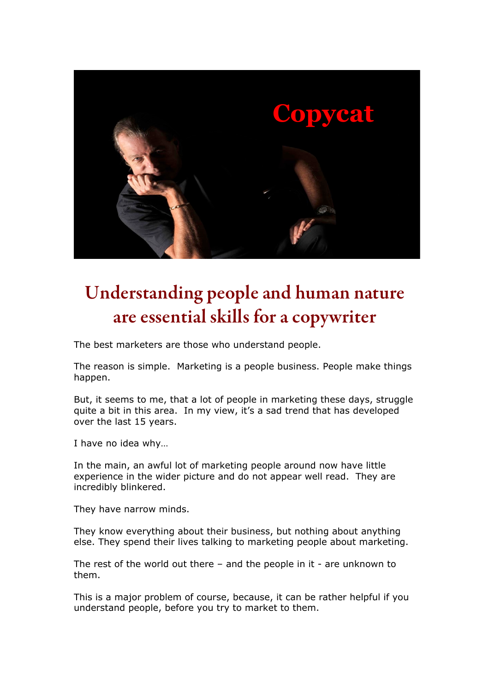

# Understanding people and human nature are essential skills for a copywriter

The best marketers are those who understand people.

The reason is simple. Marketing is a people business. People make things happen.

But, it seems to me, that a lot of people in marketing these days, struggle quite a bit in this area. In my view, it's a sad trend that has developed over the last 15 years.

I have no idea why…

In the main, an awful lot of marketing people around now have little experience in the wider picture and do not appear well read. They are incredibly blinkered.

They have narrow minds.

They know everything about their business, but nothing about anything else. They spend their lives talking to marketing people about marketing.

The rest of the world out there  $-$  and the people in it  $-$  are unknown to them.

This is a major problem of course, because, it can be rather helpful if you understand people, before you try to market to them.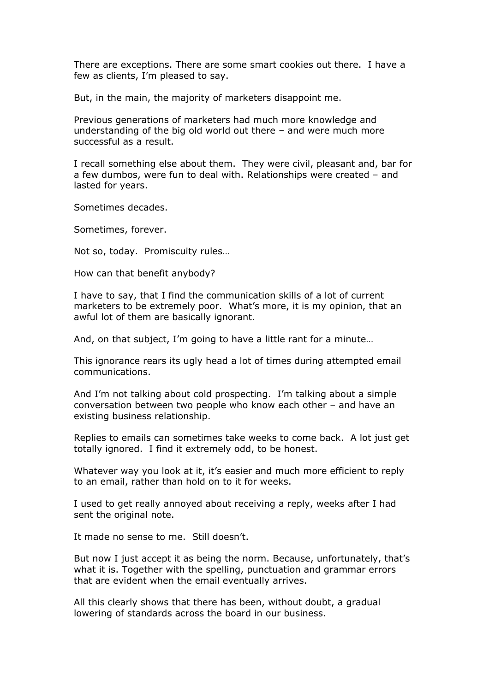There are exceptions. There are some smart cookies out there. I have a few as clients, I'm pleased to say.

But, in the main, the majority of marketers disappoint me.

Previous generations of marketers had much more knowledge and understanding of the big old world out there – and were much more successful as a result.

I recall something else about them. They were civil, pleasant and, bar for a few dumbos, were fun to deal with. Relationships were created – and lasted for years.

Sometimes decades.

Sometimes, forever.

Not so, today. Promiscuity rules…

How can that benefit anybody?

I have to say, that I find the communication skills of a lot of current marketers to be extremely poor. What's more, it is my opinion, that an awful lot of them are basically ignorant.

And, on that subject, I'm going to have a little rant for a minute…

This ignorance rears its ugly head a lot of times during attempted email communications.

And I'm not talking about cold prospecting. I'm talking about a simple conversation between two people who know each other – and have an existing business relationship.

Replies to emails can sometimes take weeks to come back. A lot just get totally ignored. I find it extremely odd, to be honest.

Whatever way you look at it, it's easier and much more efficient to reply to an email, rather than hold on to it for weeks.

I used to get really annoyed about receiving a reply, weeks after I had sent the original note.

It made no sense to me. Still doesn't.

But now I just accept it as being the norm. Because, unfortunately, that's what it is. Together with the spelling, punctuation and grammar errors that are evident when the email eventually arrives.

All this clearly shows that there has been, without doubt, a gradual lowering of standards across the board in our business.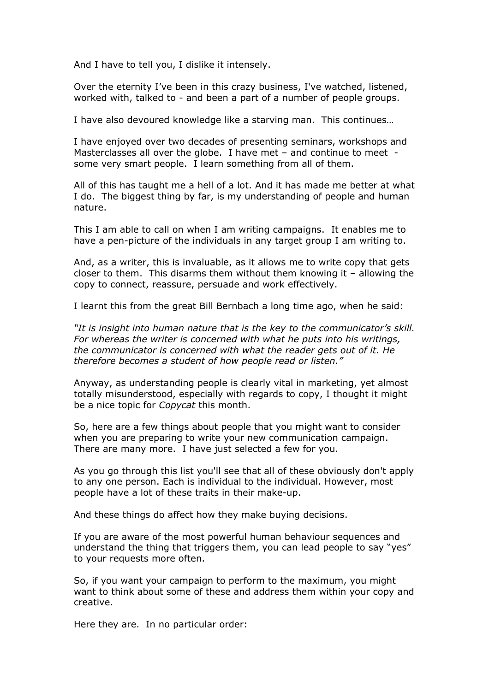And I have to tell you, I dislike it intensely.

Over the eternity I've been in this crazy business, I've watched, listened, worked with, talked to - and been a part of a number of people groups.

I have also devoured knowledge like a starving man. This continues…

I have enjoyed over two decades of presenting seminars, workshops and Masterclasses all over the globe. I have met – and continue to meet some very smart people. I learn something from all of them.

All of this has taught me a hell of a lot. And it has made me better at what I do. The biggest thing by far, is my understanding of people and human nature.

This I am able to call on when I am writing campaigns. It enables me to have a pen-picture of the individuals in any target group I am writing to.

And, as a writer, this is invaluable, as it allows me to write copy that gets closer to them. This disarms them without them knowing it – allowing the copy to connect, reassure, persuade and work effectively.

I learnt this from the great Bill Bernbach a long time ago, when he said:

*"It is insight into human nature that is the key to the communicator's skill. For whereas the writer is concerned with what he puts into his writings, the communicator is concerned with what the reader gets out of it. He therefore becomes a student of how people read or listen."*

Anyway, as understanding people is clearly vital in marketing, yet almost totally misunderstood, especially with regards to copy, I thought it might be a nice topic for *Copycat* this month.

So, here are a few things about people that you might want to consider when you are preparing to write your new communication campaign. There are many more. I have just selected a few for you.

As you go through this list you'll see that all of these obviously don't apply to any one person. Each is individual to the individual. However, most people have a lot of these traits in their make-up.

And these things do affect how they make buying decisions.

If you are aware of the most powerful human behaviour sequences and understand the thing that triggers them, you can lead people to say "yes" to your requests more often.

So, if you want your campaign to perform to the maximum, you might want to think about some of these and address them within your copy and creative.

Here they are. In no particular order: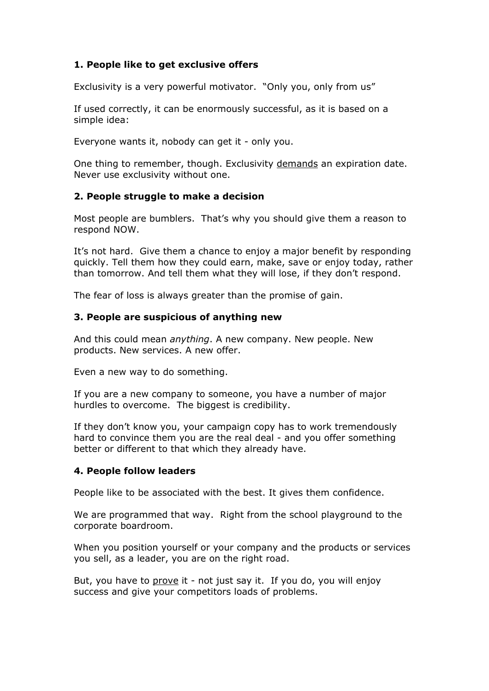# **1. People like to get exclusive offers**

Exclusivity is a very powerful motivator. "Only you, only from us"

If used correctly, it can be enormously successful, as it is based on a simple idea:

Everyone wants it, nobody can get it - only you.

One thing to remember, though. Exclusivity demands an expiration date. Never use exclusivity without one.

## **2. People struggle to make a decision**

Most people are bumblers. That's why you should give them a reason to respond NOW.

It's not hard. Give them a chance to enjoy a major benefit by responding quickly. Tell them how they could earn, make, save or enjoy today, rather than tomorrow. And tell them what they will lose, if they don't respond.

The fear of loss is always greater than the promise of gain.

## **3. People are suspicious of anything new**

And this could mean *anything*. A new company. New people. New products. New services. A new offer.

Even a new way to do something.

If you are a new company to someone, you have a number of major hurdles to overcome. The biggest is credibility.

If they don't know you, your campaign copy has to work tremendously hard to convince them you are the real deal - and you offer something better or different to that which they already have.

## **4. People follow leaders**

People like to be associated with the best. It gives them confidence.

We are programmed that way. Right from the school playground to the corporate boardroom.

When you position yourself or your company and the products or services you sell, as a leader, you are on the right road.

But, you have to prove it - not just say it. If you do, you will enjoy success and give your competitors loads of problems.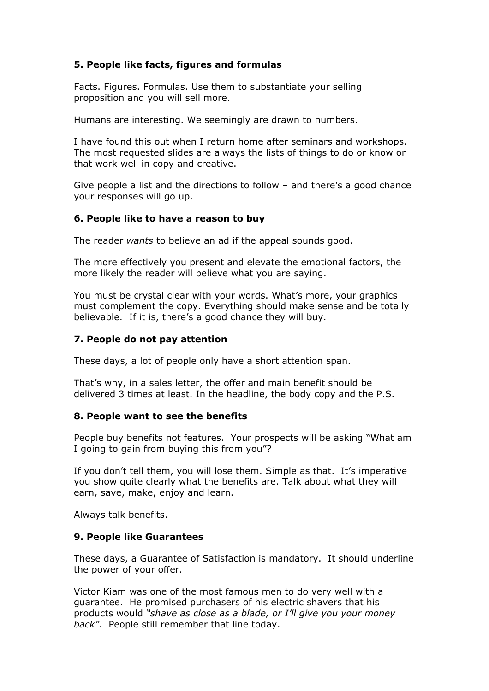# **5. People like facts, figures and formulas**

Facts. Figures. Formulas. Use them to substantiate your selling proposition and you will sell more.

Humans are interesting. We seemingly are drawn to numbers.

I have found this out when I return home after seminars and workshops. The most requested slides are always the lists of things to do or know or that work well in copy and creative.

Give people a list and the directions to follow – and there's a good chance your responses will go up.

## **6. People like to have a reason to buy**

The reader *wants* to believe an ad if the appeal sounds good.

The more effectively you present and elevate the emotional factors, the more likely the reader will believe what you are saying.

You must be crystal clear with your words. What's more, your graphics must complement the copy. Everything should make sense and be totally believable. If it is, there's a good chance they will buy.

## **7. People do not pay attention**

These days, a lot of people only have a short attention span.

That's why, in a sales letter, the offer and main benefit should be delivered 3 times at least. In the headline, the body copy and the P.S.

#### **8. People want to see the benefits**

People buy benefits not features. Your prospects will be asking "What am I going to gain from buying this from you"?

If you don't tell them, you will lose them. Simple as that. It's imperative you show quite clearly what the benefits are. Talk about what they will earn, save, make, enjoy and learn.

Always talk benefits.

#### **9. People like Guarantees**

These days, a Guarantee of Satisfaction is mandatory. It should underline the power of your offer.

Victor Kiam was one of the most famous men to do very well with a guarantee. He promised purchasers of his electric shavers that his products would *"shave as close as a blade, or I'll give you your money back".* People still remember that line today.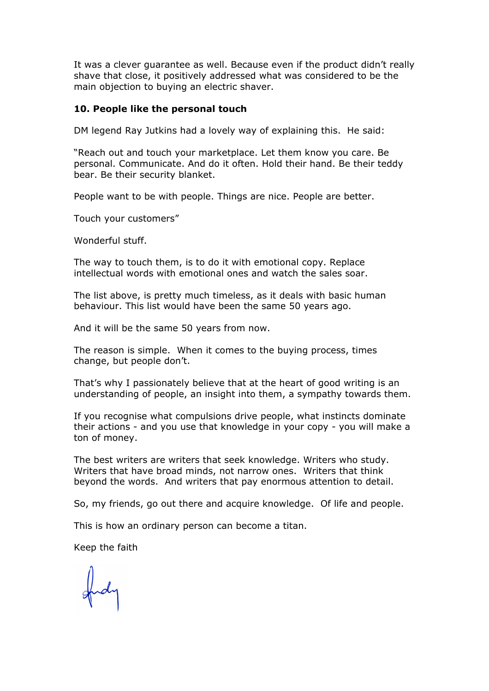It was a clever guarantee as well. Because even if the product didn't really shave that close, it positively addressed what was considered to be the main objection to buying an electric shaver.

#### **10. People like the personal touch**

DM legend Ray Jutkins had a lovely way of explaining this. He said:

"Reach out and touch your marketplace. Let them know you care. Be personal. Communicate. And do it often. Hold their hand. Be their teddy bear. Be their security blanket.

People want to be with people. Things are nice. People are better.

Touch your customers"

Wonderful stuff.

The way to touch them, is to do it with emotional copy. Replace intellectual words with emotional ones and watch the sales soar.

The list above, is pretty much timeless, as it deals with basic human behaviour. This list would have been the same 50 years ago.

And it will be the same 50 years from now.

The reason is simple. When it comes to the buying process, times change, but people don't.

That's why I passionately believe that at the heart of good writing is an understanding of people, an insight into them, a sympathy towards them.

If you recognise what compulsions drive people, what instincts dominate their actions - and you use that knowledge in your copy - you will make a ton of money.

The best writers are writers that seek knowledge. Writers who study. Writers that have broad minds, not narrow ones. Writers that think beyond the words. And writers that pay enormous attention to detail.

So, my friends, go out there and acquire knowledge. Of life and people.

This is how an ordinary person can become a titan.

Keep the faith